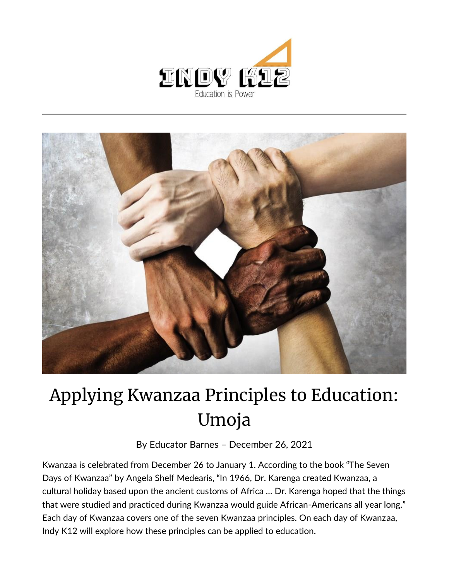



## Applying Kwanzaa Principles to Education: Umoja

By [Educator Barnes](https://indy.education/author/shicole/) – December 26, 2021

Kwanzaa is celebrated from December 26 to January 1. According to the book "The Seven Days of Kwanzaa" by Angela Shelf Medearis, "In 1966, Dr. Karenga created Kwanzaa, a cultural holiday based upon the ancient customs of Africa … Dr. Karenga hoped that the things that were studied and practiced during Kwanzaa would guide African-Americans all year long." Each day of Kwanzaa covers one of the seven Kwanzaa principles. On each day of Kwanzaa, Indy K12 will explore how these principles can be applied to education.